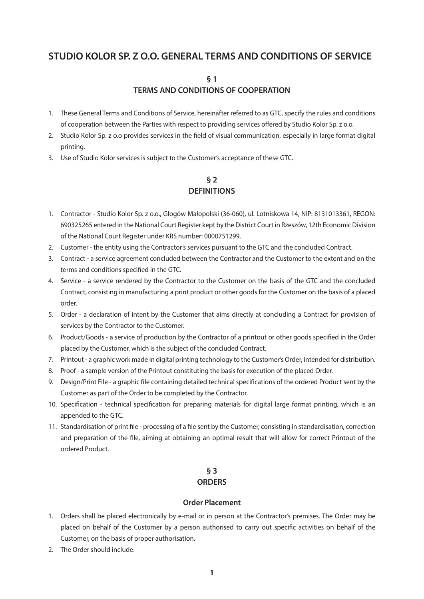# **STUDIO KOLOR SP. Z O.O. GENERAL TERMS AND CONDITIONS OF SERVICE**

**§ 1**

### **TERMS AND CONDITIONS OF COOPERATION**

- 1. These General Terms and Conditions of Service, hereinafter referred to as GTC, specify the rules and conditions of cooperation between the Parties with respect to providing services offered by Studio Kolor Sp. z o.o.
- 2. Studio Kolor Sp. z o.o provides services in the field of visual communication, especially in large format digital printing.
- 3. Use of Studio Kolor services is subject to the Customer's acceptance of these GTC.

## **§ 2 DEFINITIONS**

- 1. Contractor Studio Kolor Sp. z o.o., Głogów Małopolski (36-060), ul. Lotniskowa 14, NIP: 8131013361, REGON: 690325265 entered in the National Court Register kept by the District Court in Rzeszów, 12th Economic Division of the National Court Register under KRS number: 0000751299.
- 2. Customer the entity using the Contractor's services pursuant to the GTC and the concluded Contract.
- 3. Contract a service agreement concluded between the Contractor and the Customer to the extent and on the terms and conditions specified in the GTC.
- 4. Service a service rendered by the Contractor to the Customer on the basis of the GTC and the concluded Contract, consisting in manufacturing a print product or other goods for the Customer on the basis of a placed order.
- 5. Order a declaration of intent by the Customer that aims directly at concluding a Contract for provision of services by the Contractor to the Customer.
- 6. Product/Goods a service of production by the Contractor of a printout or other goods specified in the Order placed by the Customer, which is the subject of the concluded Contract.
- 7. Printout a graphic work made in digital printing technology to the Customer's Order, intended for distribution.
- 8. Proof a sample version of the Printout constituting the basis for execution of the placed Order.
- 9. Design/Print File a graphic file containing detailed technical specifications of the ordered Product sent by the Customer as part of the Order to be completed by the Contractor.
- 10. Specification technical specification for preparing materials for digital large format printing, which is an appended to the GTC.
- 11. Standardisation of print file processing of a file sent by the Customer, consisting in standardisation, correction and preparation of the file, aiming at obtaining an optimal result that will allow for correct Printout of the ordered Product.

## **§ 3 ORDERS**

#### **Order Placement**

- 1. Orders shall be placed electronically by e-mail or in person at the Contractor's premises. The Order may be placed on behalf of the Customer by a person authorised to carry out specific activities on behalf of the Customer, on the basis of proper authorisation.
- 2. The Order should include: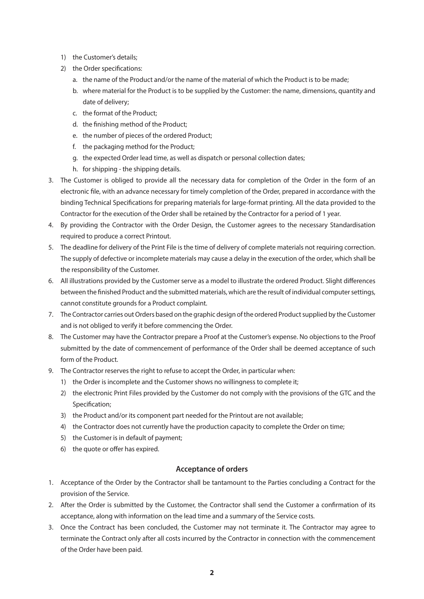- 1) the Customer's details;
- 2) the Order specifications:
	- a. the name of the Product and/or the name of the material of which the Product is to be made;
	- b. where material for the Product is to be supplied by the Customer: the name, dimensions, quantity and date of delivery;
	- c. the format of the Product;
	- d. the finishing method of the Product;
	- e. the number of pieces of the ordered Product;
	- f. the packaging method for the Product;
	- g. the expected Order lead time, as well as dispatch or personal collection dates;
	- h. for shipping the shipping details.
- 3. The Customer is obliged to provide all the necessary data for completion of the Order in the form of an electronic file, with an advance necessary for timely completion of the Order, prepared in accordance with the binding Technical Specifications for preparing materials for large-format printing. All the data provided to the Contractor for the execution of the Order shall be retained by the Contractor for a period of 1 year.
- 4. By providing the Contractor with the Order Design, the Customer agrees to the necessary Standardisation required to produce a correct Printout.
- 5. The deadline for delivery of the Print File is the time of delivery of complete materials not requiring correction. The supply of defective or incomplete materials may cause a delay in the execution of the order, which shall be the responsibility of the Customer.
- 6. All illustrations provided by the Customer serve as a model to illustrate the ordered Product. Slight differences between the finished Product and the submitted materials, which are the result of individual computer settings, cannot constitute grounds for a Product complaint.
- 7. The Contractor carries out Orders based on the graphic design of the ordered Product supplied by the Customer and is not obliged to verify it before commencing the Order.
- 8. The Customer may have the Contractor prepare a Proof at the Customer's expense. No objections to the Proof submitted by the date of commencement of performance of the Order shall be deemed acceptance of such form of the Product.
- 9. The Contractor reserves the right to refuse to accept the Order, in particular when:
	- 1) the Order is incomplete and the Customer shows no willingness to complete it;
	- 2) the electronic Print Files provided by the Customer do not comply with the provisions of the GTC and the Specification;
	- 3) the Product and/or its component part needed for the Printout are not available;
	- 4) the Contractor does not currently have the production capacity to complete the Order on time;
	- 5) the Customer is in default of payment;
	- 6) the quote or offer has expired.

#### **Acceptance of orders**

- 1. Acceptance of the Order by the Contractor shall be tantamount to the Parties concluding a Contract for the provision of the Service.
- 2. After the Order is submitted by the Customer, the Contractor shall send the Customer a confirmation of its acceptance, along with information on the lead time and a summary of the Service costs.
- 3. Once the Contract has been concluded, the Customer may not terminate it. The Contractor may agree to terminate the Contract only after all costs incurred by the Contractor in connection with the commencement of the Order have been paid.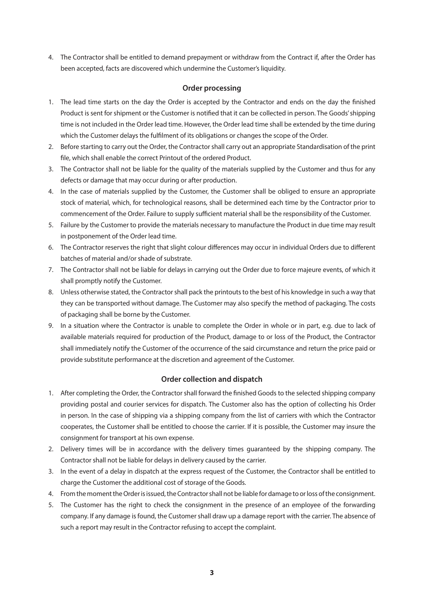4. The Contractor shall be entitled to demand prepayment or withdraw from the Contract if, after the Order has been accepted, facts are discovered which undermine the Customer's liquidity.

#### **Order processing**

- 1. The lead time starts on the day the Order is accepted by the Contractor and ends on the day the finished Product is sent for shipment or the Customer is notified that it can be collected in person. The Goods' shipping time is not included in the Order lead time. However, the Order lead time shall be extended by the time during which the Customer delays the fulfilment of its obligations or changes the scope of the Order.
- 2. Before starting to carry out the Order, the Contractor shall carry out an appropriate Standardisation of the print file, which shall enable the correct Printout of the ordered Product.
- 3. The Contractor shall not be liable for the quality of the materials supplied by the Customer and thus for any defects or damage that may occur during or after production.
- 4. In the case of materials supplied by the Customer, the Customer shall be obliged to ensure an appropriate stock of material, which, for technological reasons, shall be determined each time by the Contractor prior to commencement of the Order. Failure to supply sufficient material shall be the responsibility of the Customer.
- 5. Failure by the Customer to provide the materials necessary to manufacture the Product in due time may result in postponement of the Order lead time.
- 6. The Contractor reserves the right that slight colour differences may occur in individual Orders due to different batches of material and/or shade of substrate.
- 7. The Contractor shall not be liable for delays in carrying out the Order due to force majeure events, of which it shall promptly notify the Customer.
- 8. Unless otherwise stated, the Contractor shall pack the printouts to the best of his knowledge in such a way that they can be transported without damage. The Customer may also specify the method of packaging. The costs of packaging shall be borne by the Customer.
- 9. In a situation where the Contractor is unable to complete the Order in whole or in part, e.g. due to lack of available materials required for production of the Product, damage to or loss of the Product, the Contractor shall immediately notify the Customer of the occurrence of the said circumstance and return the price paid or provide substitute performance at the discretion and agreement of the Customer.

#### **Order collection and dispatch**

- 1. After completing the Order, the Contractor shall forward the finished Goods to the selected shipping company providing postal and courier services for dispatch. The Customer also has the option of collecting his Order in person. In the case of shipping via a shipping company from the list of carriers with which the Contractor cooperates, the Customer shall be entitled to choose the carrier. If it is possible, the Customer may insure the consignment for transport at his own expense.
- 2. Delivery times will be in accordance with the delivery times guaranteed by the shipping company. The Contractor shall not be liable for delays in delivery caused by the carrier.
- 3. In the event of a delay in dispatch at the express request of the Customer, the Contractor shall be entitled to charge the Customer the additional cost of storage of the Goods.
- 4. From the moment the Order is issued, the Contractor shall not be liable for damage to or loss of the consignment.
- 5. The Customer has the right to check the consignment in the presence of an employee of the forwarding company. If any damage is found, the Customer shall draw up a damage report with the carrier. The absence of such a report may result in the Contractor refusing to accept the complaint.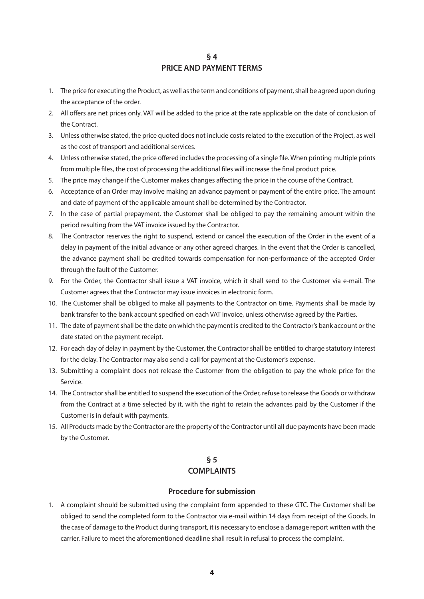#### **§ 4 PRICE AND PAYMENT TERMS**

- 1. The price for executing the Product, as well as the term and conditions of payment, shall be agreed upon during the acceptance of the order.
- 2. All offers are net prices only. VAT will be added to the price at the rate applicable on the date of conclusion of the Contract.
- 3. Unless otherwise stated, the price quoted does not include costs related to the execution of the Project, as well as the cost of transport and additional services.
- 4. Unless otherwise stated, the price offered includes the processing of a single file. When printing multiple prints from multiple files, the cost of processing the additional files will increase the final product price.
- 5. The price may change if the Customer makes changes affecting the price in the course of the Contract.
- 6. Acceptance of an Order may involve making an advance payment or payment of the entire price. The amount and date of payment of the applicable amount shall be determined by the Contractor.
- 7. In the case of partial prepayment, the Customer shall be obliged to pay the remaining amount within the period resulting from the VAT invoice issued by the Contractor.
- 8. The Contractor reserves the right to suspend, extend or cancel the execution of the Order in the event of a delay in payment of the initial advance or any other agreed charges. In the event that the Order is cancelled, the advance payment shall be credited towards compensation for non-performance of the accepted Order through the fault of the Customer.
- 9. For the Order, the Contractor shall issue a VAT invoice, which it shall send to the Customer via e-mail. The Customer agrees that the Contractor may issue invoices in electronic form.
- 10. The Customer shall be obliged to make all payments to the Contractor on time. Payments shall be made by bank transfer to the bank account specified on each VAT invoice, unless otherwise agreed by the Parties.
- 11. The date of payment shall be the date on which the payment is credited to the Contractor's bank account or the date stated on the payment receipt.
- 12. For each day of delay in payment by the Customer, the Contractor shall be entitled to charge statutory interest for the delay. The Contractor may also send a call for payment at the Customer's expense.
- 13. Submitting a complaint does not release the Customer from the obligation to pay the whole price for the Service.
- 14. The Contractor shall be entitled to suspend the execution of the Order, refuse to release the Goods or withdraw from the Contract at a time selected by it, with the right to retain the advances paid by the Customer if the Customer is in default with payments.
- 15. All Products made by the Contractor are the property of the Contractor until all due payments have been made by the Customer.

## **§ 5 COMPLAINTS**

#### **Procedure for submission**

1. A complaint should be submitted using the complaint form appended to these GTC. The Customer shall be obliged to send the completed form to the Contractor via e-mail within 14 days from receipt of the Goods. In the case of damage to the Product during transport, it is necessary to enclose a damage report written with the carrier. Failure to meet the aforementioned deadline shall result in refusal to process the complaint.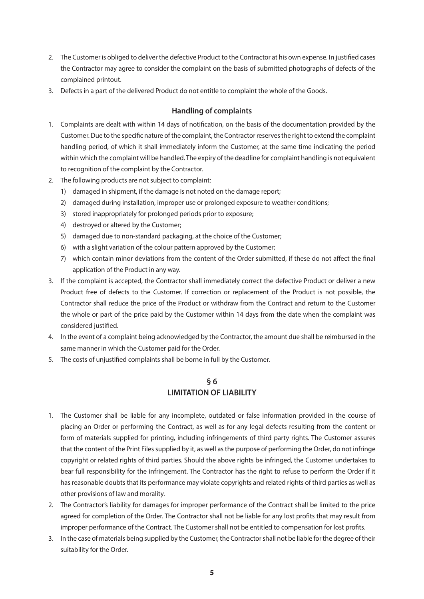- 2. The Customer is obliged to deliver the defective Product to the Contractor at his own expense. In justified cases the Contractor may agree to consider the complaint on the basis of submitted photographs of defects of the complained printout.
- 3. Defects in a part of the delivered Product do not entitle to complaint the whole of the Goods.

#### **Handling of complaints**

- 1. Complaints are dealt with within 14 days of notification, on the basis of the documentation provided by the Customer. Due to the specific nature of the complaint, the Contractor reserves the right to extend the complaint handling period, of which it shall immediately inform the Customer, at the same time indicating the period within which the complaint will be handled. The expiry of the deadline for complaint handling is not equivalent to recognition of the complaint by the Contractor.
- 2. The following products are not subject to complaint:
	- 1) damaged in shipment, if the damage is not noted on the damage report;
	- 2) damaged during installation, improper use or prolonged exposure to weather conditions;
	- 3) stored inappropriately for prolonged periods prior to exposure;
	- 4) destroyed or altered by the Customer;
	- 5) damaged due to non-standard packaging, at the choice of the Customer;
	- 6) with a slight variation of the colour pattern approved by the Customer;
	- 7) which contain minor deviations from the content of the Order submitted, if these do not affect the final application of the Product in any way.
- 3. If the complaint is accepted, the Contractor shall immediately correct the defective Product or deliver a new Product free of defects to the Customer. If correction or replacement of the Product is not possible, the Contractor shall reduce the price of the Product or withdraw from the Contract and return to the Customer the whole or part of the price paid by the Customer within 14 days from the date when the complaint was considered justified.
- 4. In the event of a complaint being acknowledged by the Contractor, the amount due shall be reimbursed in the same manner in which the Customer paid for the Order.
- 5. The costs of unjustified complaints shall be borne in full by the Customer.

## **§ 6 LIMITATION OF LIABILITY**

- 1. The Customer shall be liable for any incomplete, outdated or false information provided in the course of placing an Order or performing the Contract, as well as for any legal defects resulting from the content or form of materials supplied for printing, including infringements of third party rights. The Customer assures that the content of the Print Files supplied by it, as well as the purpose of performing the Order, do not infringe copyright or related rights of third parties. Should the above rights be infringed, the Customer undertakes to bear full responsibility for the infringement. The Contractor has the right to refuse to perform the Order if it has reasonable doubts that its performance may violate copyrights and related rights of third parties as well as other provisions of law and morality.
- 2. The Contractor's liability for damages for improper performance of the Contract shall be limited to the price agreed for completion of the Order. The Contractor shall not be liable for any lost profits that may result from improper performance of the Contract. The Customer shall not be entitled to compensation for lost profits.
- 3. In the case of materials being supplied by the Customer, the Contractor shall not be liable for the degree of their suitability for the Order.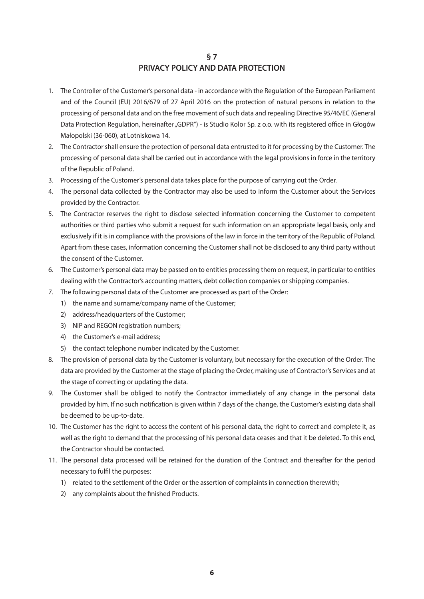### **§ 7 PRIVACY POLICY AND DATA PROTECTION**

- 1. The Controller of the Customer's personal data in accordance with the Regulation of the European Parliament and of the Council (EU) 2016/679 of 27 April 2016 on the protection of natural persons in relation to the processing of personal data and on the free movement of such data and repealing Directive 95/46/EC (General Data Protection Regulation, hereinafter "GDPR") - is Studio Kolor Sp. z o.o. with its registered office in Głogów Małopolski (36-060), at Lotniskowa 14.
- 2. The Contractor shall ensure the protection of personal data entrusted to it for processing by the Customer. The processing of personal data shall be carried out in accordance with the legal provisions in force in the territory of the Republic of Poland.
- 3. Processing of the Customer's personal data takes place for the purpose of carrying out the Order.
- 4. The personal data collected by the Contractor may also be used to inform the Customer about the Services provided by the Contractor.
- 5. The Contractor reserves the right to disclose selected information concerning the Customer to competent authorities or third parties who submit a request for such information on an appropriate legal basis, only and exclusively if it is in compliance with the provisions of the law in force in the territory of the Republic of Poland. Apart from these cases, information concerning the Customer shall not be disclosed to any third party without the consent of the Customer.
- 6. The Customer's personal data may be passed on to entities processing them on request, in particular to entities dealing with the Contractor's accounting matters, debt collection companies or shipping companies.
- 7. The following personal data of the Customer are processed as part of the Order:
	- 1) the name and surname/company name of the Customer;
	- 2) address/headquarters of the Customer;
	- 3) NIP and REGON registration numbers:
	- 4) the Customer's e-mail address;
	- 5) the contact telephone number indicated by the Customer.
- 8. The provision of personal data by the Customer is voluntary, but necessary for the execution of the Order. The data are provided by the Customer at the stage of placing the Order, making use of Contractor's Services and at the stage of correcting or updating the data.
- 9. The Customer shall be obliged to notify the Contractor immediately of any change in the personal data provided by him. If no such notification is given within 7 days of the change, the Customer's existing data shall be deemed to be up-to-date.
- 10. The Customer has the right to access the content of his personal data, the right to correct and complete it, as well as the right to demand that the processing of his personal data ceases and that it be deleted. To this end, the Contractor should be contacted.
- 11. The personal data processed will be retained for the duration of the Contract and thereafter for the period necessary to fulfil the purposes:
	- 1) related to the settlement of the Order or the assertion of complaints in connection therewith;
	- 2) any complaints about the finished Products.